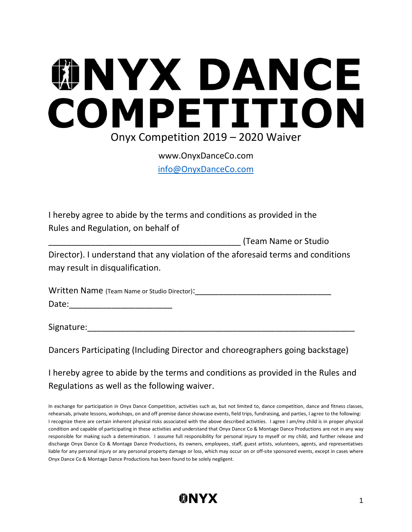## **WNYX DANCE** COMPETITION Onyx Competition 2019 – 2020 Waiver

www.OnyxDanceCo.com [info@OnyxDanceCo.com](mailto:info@OnyxDanceCo.com)

I hereby agree to abide by the terms and conditions as provided in the Rules and Regulation, on behalf of

\_\_\_\_\_\_\_\_\_\_\_\_\_\_\_\_\_\_\_\_\_\_\_\_\_\_\_\_\_\_\_\_\_\_\_\_\_\_\_\_\_ (Team Name or Studio Director). I understand that any violation of the aforesaid terms and conditions may result in disqualification.

| Written Name (Team Name or Studio Director): |  |
|----------------------------------------------|--|
| Date:                                        |  |

Signature:

Dancers Participating (Including Director and choreographers going backstage)

I hereby agree to abide by the terms and conditions as provided in the Rules and Regulations as well as the following waiver.

In exchange for participation in Onyx Dance Competition, activities such as, but not limited to, dance competition, dance and fitness classes, rehearsals, private lessons, workshops, on and off premise dance showcase events, field trips, fundraising, and parties, I agree to the following: I recognize there are certain inherent physical risks associated with the above described activities. I agree I am/my child is in proper physical condition and capable of participating in these activities and understand that Onyx Dance Co & Montage Dance Productions are not in any way responsible for making such a determination. I assume full responsibility for personal injury to myself or my child, and further release and discharge Onyx Dance Co & Montage Dance Productions, its owners, employees, staff, guest artists, volunteers, agents, and representatives liable for any personal injury or any personal property damage or loss, which may occur on or off-site sponsored events, except in cases where Onyx Dance Co & Montage Dance Productions has been found to be solely negligent.

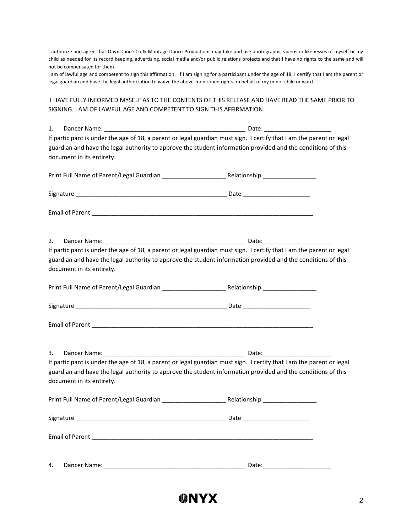I authorize and agree that Onyx Dance Co & Montage Dance Productions may take and use photographs, videos or likenesses of myself or my child as needed for its record keeping, advertising, social media and/or public relations projects and that I have no rights to the same and will not be compensated for them.

I am of lawful age and competent to sign this affirmation. If I am signing for a participant under the age of 18, I certify that I am the parent or legal guardian and have the legal authorization to waive the above-mentioned rights on behalf of my minor child or ward.

I HAVE FULLY INFORMED MYSELF AS TO THE CONTENTS OF THIS RELEASE AND HAVE READ THE SAME PRIOR TO SIGNING. I AM OF LAWFUL AGE AND COMPETENT TO SIGN THIS AFFIRMATION.

| 1. |                                                                                                                                                                                                                                                                   |  |
|----|-------------------------------------------------------------------------------------------------------------------------------------------------------------------------------------------------------------------------------------------------------------------|--|
|    | If participant is under the age of 18, a parent or legal guardian must sign. I certify that I am the parent or legal                                                                                                                                              |  |
|    | guardian and have the legal authority to approve the student information provided and the conditions of this                                                                                                                                                      |  |
|    | document in its entirety.                                                                                                                                                                                                                                         |  |
|    |                                                                                                                                                                                                                                                                   |  |
|    |                                                                                                                                                                                                                                                                   |  |
|    |                                                                                                                                                                                                                                                                   |  |
| 2. |                                                                                                                                                                                                                                                                   |  |
|    | If participant is under the age of 18, a parent or legal guardian must sign. I certify that I am the parent or legal                                                                                                                                              |  |
|    | guardian and have the legal authority to approve the student information provided and the conditions of this<br>document in its entirety.                                                                                                                         |  |
|    |                                                                                                                                                                                                                                                                   |  |
|    |                                                                                                                                                                                                                                                                   |  |
|    |                                                                                                                                                                                                                                                                   |  |
| 3. |                                                                                                                                                                                                                                                                   |  |
|    | If participant is under the age of 18, a parent or legal guardian must sign. I certify that I am the parent or legal<br>guardian and have the legal authority to approve the student information provided and the conditions of this<br>document in its entirety. |  |
|    |                                                                                                                                                                                                                                                                   |  |
|    |                                                                                                                                                                                                                                                                   |  |
|    |                                                                                                                                                                                                                                                                   |  |
| 4. |                                                                                                                                                                                                                                                                   |  |

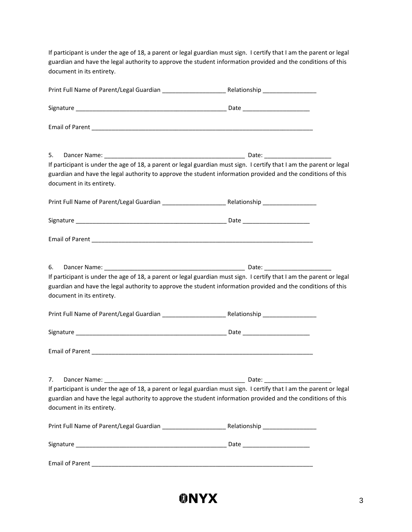If participant is under the age of 18, a parent or legal guardian must sign. I certify that I am the parent or legal guardian and have the legal authority to approve the student information provided and the conditions of this document in its entirety.

| 5.<br>If participant is under the age of 18, a parent or legal guardian must sign. I certify that I am the parent or legal<br>guardian and have the legal authority to approve the student information provided and the conditions of this<br>document in its entirety. |  |
|-------------------------------------------------------------------------------------------------------------------------------------------------------------------------------------------------------------------------------------------------------------------------|--|
|                                                                                                                                                                                                                                                                         |  |
|                                                                                                                                                                                                                                                                         |  |
|                                                                                                                                                                                                                                                                         |  |
| 6.<br>If participant is under the age of 18, a parent or legal guardian must sign. I certify that I am the parent or legal<br>guardian and have the legal authority to approve the student information provided and the conditions of this<br>document in its entirety. |  |
|                                                                                                                                                                                                                                                                         |  |
|                                                                                                                                                                                                                                                                         |  |
|                                                                                                                                                                                                                                                                         |  |
| If participant is under the age of 18, a parent or legal guardian must sign. I certify that I am the parent or legal<br>guardian and have the legal authority to approve the student information provided and the conditions of this<br>document in its entirety.       |  |
|                                                                                                                                                                                                                                                                         |  |
|                                                                                                                                                                                                                                                                         |  |
|                                                                                                                                                                                                                                                                         |  |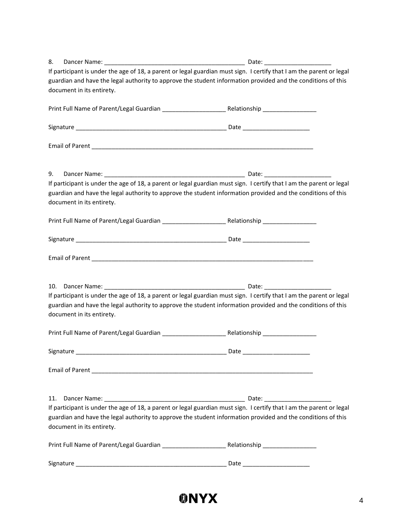| 8.  |                           |                                                                                                                      |
|-----|---------------------------|----------------------------------------------------------------------------------------------------------------------|
|     |                           | If participant is under the age of 18, a parent or legal guardian must sign. I certify that I am the parent or legal |
|     |                           | guardian and have the legal authority to approve the student information provided and the conditions of this         |
|     | document in its entirety. |                                                                                                                      |
|     |                           |                                                                                                                      |
|     |                           |                                                                                                                      |
|     |                           |                                                                                                                      |
| 9.  |                           |                                                                                                                      |
|     |                           | If participant is under the age of 18, a parent or legal guardian must sign. I certify that I am the parent or legal |
|     |                           | guardian and have the legal authority to approve the student information provided and the conditions of this         |
|     | document in its entirety. |                                                                                                                      |
|     |                           |                                                                                                                      |
|     |                           |                                                                                                                      |
|     |                           |                                                                                                                      |
|     |                           |                                                                                                                      |
|     |                           | If participant is under the age of 18, a parent or legal guardian must sign. I certify that I am the parent or legal |
|     | document in its entirety. | guardian and have the legal authority to approve the student information provided and the conditions of this         |
|     |                           |                                                                                                                      |
|     |                           |                                                                                                                      |
|     |                           |                                                                                                                      |
|     |                           |                                                                                                                      |
| 11. |                           | If participant is under the age of 18, a parent or legal guardian must sign. I certify that I am the parent or legal |
|     |                           | guardian and have the legal authority to approve the student information provided and the conditions of this         |
|     | document in its entirety. |                                                                                                                      |
|     |                           |                                                                                                                      |
|     |                           |                                                                                                                      |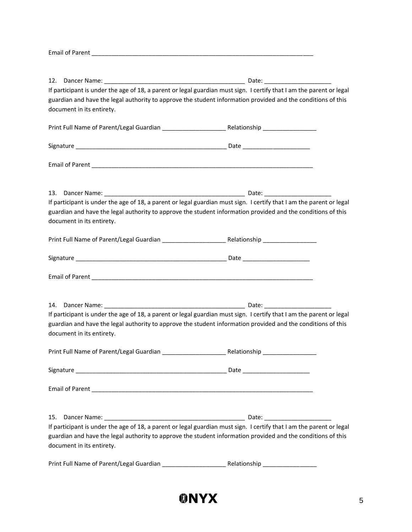Email of Parent \_\_\_\_\_\_\_\_\_\_\_\_\_\_\_\_\_\_\_\_\_\_\_\_\_\_\_\_\_\_\_\_\_\_\_\_\_\_\_\_\_\_\_\_\_\_\_\_\_\_\_\_\_\_\_\_\_\_\_\_\_\_\_\_\_\_

|                           | If participant is under the age of 18, a parent or legal guardian must sign. I certify that I am the parent or legal |
|---------------------------|----------------------------------------------------------------------------------------------------------------------|
|                           | guardian and have the legal authority to approve the student information provided and the conditions of this         |
| document in its entirety. |                                                                                                                      |
|                           |                                                                                                                      |
|                           |                                                                                                                      |
|                           |                                                                                                                      |
|                           |                                                                                                                      |
|                           |                                                                                                                      |
|                           | If participant is under the age of 18, a parent or legal guardian must sign. I certify that I am the parent or legal |
| document in its entirety. | guardian and have the legal authority to approve the student information provided and the conditions of this         |
|                           |                                                                                                                      |
|                           |                                                                                                                      |
|                           |                                                                                                                      |
|                           |                                                                                                                      |
|                           | If participant is under the age of 18, a parent or legal guardian must sign. I certify that I am the parent or legal |
|                           | guardian and have the legal authority to approve the student information provided and the conditions of this         |
| document in its entirety. |                                                                                                                      |
|                           |                                                                                                                      |
| Signature                 | Date                                                                                                                 |
|                           |                                                                                                                      |
| 15.                       |                                                                                                                      |
|                           | If participant is under the age of 18, a parent or legal guardian must sign. I certify that I am the parent or legal |
| document in its entirety. | guardian and have the legal authority to approve the student information provided and the conditions of this         |
|                           |                                                                                                                      |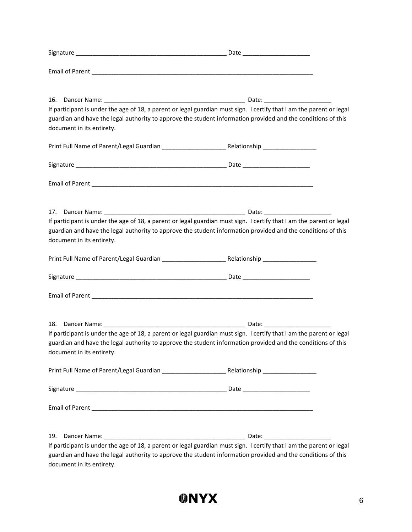|                           | If participant is under the age of 18, a parent or legal guardian must sign. I certify that I am the parent or legal |
|---------------------------|----------------------------------------------------------------------------------------------------------------------|
|                           | guardian and have the legal authority to approve the student information provided and the conditions of this         |
| document in its entirety. |                                                                                                                      |
|                           |                                                                                                                      |
|                           |                                                                                                                      |
|                           |                                                                                                                      |
|                           |                                                                                                                      |
|                           |                                                                                                                      |
|                           |                                                                                                                      |
|                           | If participant is under the age of 18, a parent or legal guardian must sign. I certify that I am the parent or legal |
|                           | guardian and have the legal authority to approve the student information provided and the conditions of this         |
| document in its entirety. |                                                                                                                      |
|                           |                                                                                                                      |
|                           |                                                                                                                      |
|                           |                                                                                                                      |
|                           |                                                                                                                      |
|                           |                                                                                                                      |
|                           |                                                                                                                      |
| 18.                       |                                                                                                                      |
|                           | If participant is under the age of 18, a parent or legal guardian must sign. I certify that I am the parent or legal |
|                           | guardian and have the legal authority to approve the student information provided and the conditions of this         |
| document in its entirety. |                                                                                                                      |
|                           |                                                                                                                      |
|                           |                                                                                                                      |
|                           |                                                                                                                      |
|                           |                                                                                                                      |
|                           |                                                                                                                      |
|                           |                                                                                                                      |
| 19.                       |                                                                                                                      |
|                           | If participant is under the age of 18, a parent or legal guardian must sign. I certify that I am the parent or legal |
| document in its entirety. | guardian and have the legal authority to approve the student information provided and the conditions of this         |
|                           |                                                                                                                      |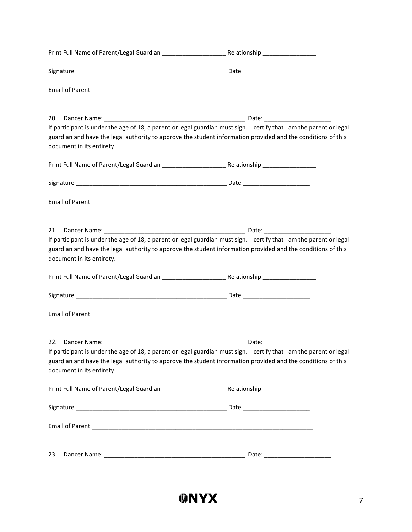|                           | If participant is under the age of 18, a parent or legal guardian must sign. I certify that I am the parent or legal<br>guardian and have the legal authority to approve the student information provided and the conditions of this |
|---------------------------|--------------------------------------------------------------------------------------------------------------------------------------------------------------------------------------------------------------------------------------|
| document in its entirety. |                                                                                                                                                                                                                                      |
|                           |                                                                                                                                                                                                                                      |
|                           |                                                                                                                                                                                                                                      |
| document in its entirety. | If participant is under the age of 18, a parent or legal guardian must sign. I certify that I am the parent or legal<br>guardian and have the legal authority to approve the student information provided and the conditions of this |
|                           |                                                                                                                                                                                                                                      |
|                           |                                                                                                                                                                                                                                      |
|                           |                                                                                                                                                                                                                                      |
| document in its entirety. | If participant is under the age of 18, a parent or legal guardian must sign. I certify that I am the parent or legal<br>guardian and have the legal authority to approve the student information provided and the conditions of this |
|                           |                                                                                                                                                                                                                                      |
|                           |                                                                                                                                                                                                                                      |
|                           |                                                                                                                                                                                                                                      |
| 23.                       |                                                                                                                                                                                                                                      |

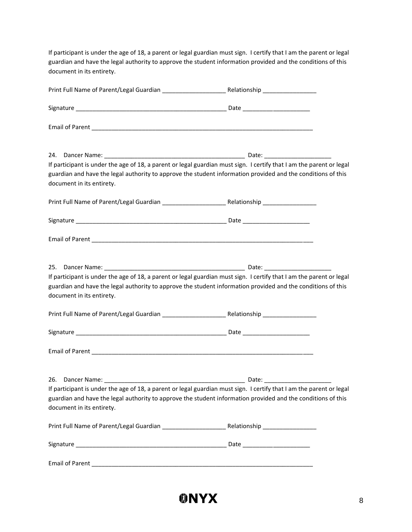If participant is under the age of 18, a parent or legal guardian must sign. I certify that I am the parent or legal guardian and have the legal authority to approve the student information provided and the conditions of this document in its entirety.

| 24.<br>guardian and have the legal authority to approve the student information provided and the conditions of this<br>document in its entirety. | If participant is under the age of 18, a parent or legal guardian must sign. I certify that I am the parent or legal |
|--------------------------------------------------------------------------------------------------------------------------------------------------|----------------------------------------------------------------------------------------------------------------------|
|                                                                                                                                                  |                                                                                                                      |
|                                                                                                                                                  |                                                                                                                      |
|                                                                                                                                                  |                                                                                                                      |
| guardian and have the legal authority to approve the student information provided and the conditions of this<br>document in its entirety.        | If participant is under the age of 18, a parent or legal guardian must sign. I certify that I am the parent or legal |
|                                                                                                                                                  |                                                                                                                      |
|                                                                                                                                                  |                                                                                                                      |
|                                                                                                                                                  |                                                                                                                      |
| guardian and have the legal authority to approve the student information provided and the conditions of this<br>document in its entirety.        | If participant is under the age of 18, a parent or legal guardian must sign. I certify that I am the parent or legal |
|                                                                                                                                                  |                                                                                                                      |
|                                                                                                                                                  |                                                                                                                      |
|                                                                                                                                                  |                                                                                                                      |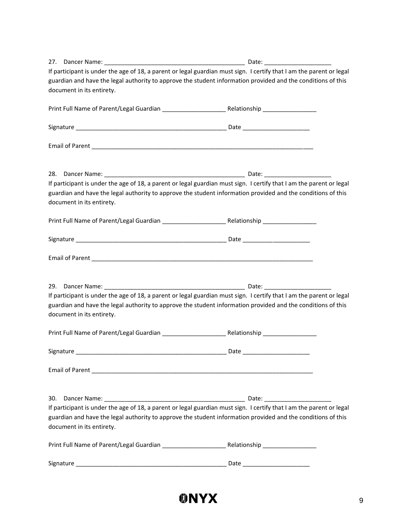|                           | If participant is under the age of 18, a parent or legal guardian must sign. I certify that I am the parent or legal |
|---------------------------|----------------------------------------------------------------------------------------------------------------------|
|                           | guardian and have the legal authority to approve the student information provided and the conditions of this         |
| document in its entirety. |                                                                                                                      |
|                           |                                                                                                                      |
|                           |                                                                                                                      |
|                           |                                                                                                                      |
|                           |                                                                                                                      |
|                           | If participant is under the age of 18, a parent or legal guardian must sign. I certify that I am the parent or legal |
|                           | guardian and have the legal authority to approve the student information provided and the conditions of this         |
| document in its entirety. |                                                                                                                      |
|                           |                                                                                                                      |
|                           |                                                                                                                      |
|                           |                                                                                                                      |
|                           |                                                                                                                      |
|                           | If participant is under the age of 18, a parent or legal guardian must sign. I certify that I am the parent or legal |
|                           | guardian and have the legal authority to approve the student information provided and the conditions of this         |
| document in its entirety. |                                                                                                                      |
|                           |                                                                                                                      |
|                           |                                                                                                                      |
|                           |                                                                                                                      |
|                           |                                                                                                                      |
| 30.                       |                                                                                                                      |
|                           | If participant is under the age of 18, a parent or legal guardian must sign. I certify that I am the parent or legal |
| document in its entirety. | guardian and have the legal authority to approve the student information provided and the conditions of this         |
|                           |                                                                                                                      |
|                           |                                                                                                                      |
|                           |                                                                                                                      |